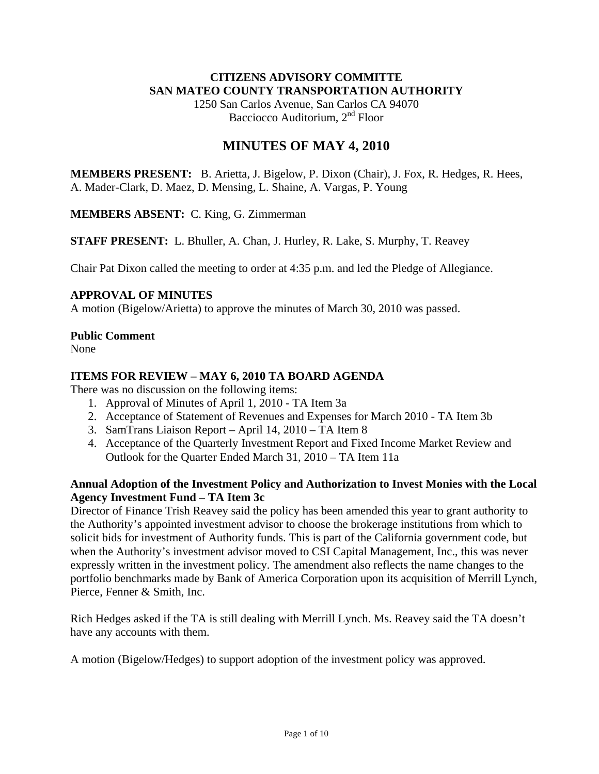### **CITIZENS ADVISORY COMMITTE SAN MATEO COUNTY TRANSPORTATION AUTHORITY**

1250 San Carlos Avenue, San Carlos CA 94070 Bacciocco Auditorium, 2<sup>nd</sup> Floor

# **MINUTES OF MAY 4, 2010**

**MEMBERS PRESENT:** B. Arietta, J. Bigelow, P. Dixon (Chair), J. Fox, R. Hedges, R. Hees, A. Mader-Clark, D. Maez, D. Mensing, L. Shaine, A. Vargas, P. Young

**MEMBERS ABSENT:** C. King, G. Zimmerman

**STAFF PRESENT:** L. Bhuller, A. Chan, J. Hurley, R. Lake, S. Murphy, T. Reavey

Chair Pat Dixon called the meeting to order at 4:35 p.m. and led the Pledge of Allegiance.

### **APPROVAL OF MINUTES**

A motion (Bigelow/Arietta) to approve the minutes of March 30, 2010 was passed.

### **Public Comment**

None

### **ITEMS FOR REVIEW – MAY 6, 2010 TA BOARD AGENDA**

There was no discussion on the following items:

- 1. Approval of Minutes of April 1, 2010 TA Item 3a
- 2. Acceptance of Statement of Revenues and Expenses for March 2010 TA Item 3b
- 3. SamTrans Liaison Report April 14, 2010 TA Item 8
- 4. Acceptance of the Quarterly Investment Report and Fixed Income Market Review and Outlook for the Quarter Ended March 31, 2010 – TA Item 11a

### **Annual Adoption of the Investment Policy and Authorization to Invest Monies with the Local Agency Investment Fund – TA Item 3c**

Director of Finance Trish Reavey said the policy has been amended this year to grant authority to the Authority's appointed investment advisor to choose the brokerage institutions from which to solicit bids for investment of Authority funds. This is part of the California government code, but when the Authority's investment advisor moved to CSI Capital Management, Inc., this was never expressly written in the investment policy. The amendment also reflects the name changes to the portfolio benchmarks made by Bank of America Corporation upon its acquisition of Merrill Lynch, Pierce, Fenner & Smith, Inc.

Rich Hedges asked if the TA is still dealing with Merrill Lynch. Ms. Reavey said the TA doesn't have any accounts with them.

A motion (Bigelow/Hedges) to support adoption of the investment policy was approved.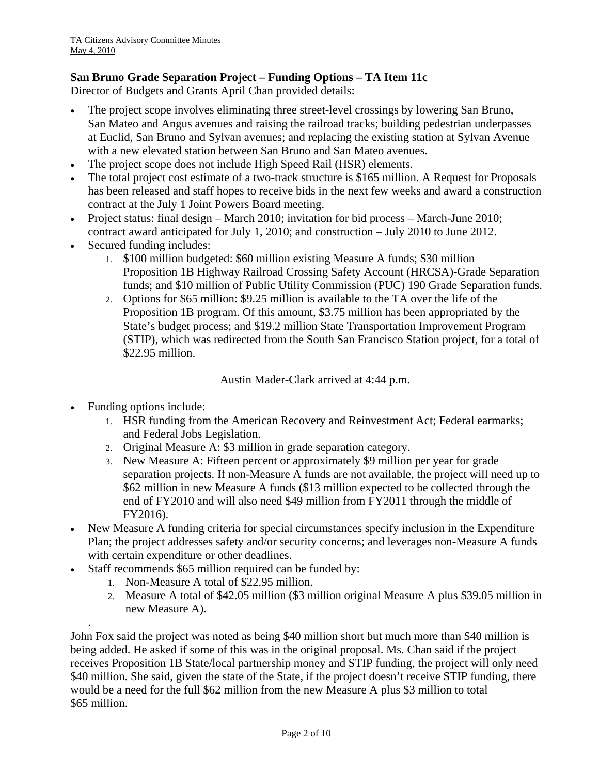# **San Bruno Grade Separation Project – Funding Options – TA Item 11c**

Director of Budgets and Grants April Chan provided details:

- The project scope involves eliminating three street-level crossings by lowering San Bruno, San Mateo and Angus avenues and raising the railroad tracks; building pedestrian underpasses at Euclid, San Bruno and Sylvan avenues; and replacing the existing station at Sylvan Avenue with a new elevated station between San Bruno and San Mateo avenues.
- The project scope does not include High Speed Rail (HSR) elements.
- The total project cost estimate of a two-track structure is \$165 million. A Request for Proposals has been released and staff hopes to receive bids in the next few weeks and award a construction contract at the July 1 Joint Powers Board meeting.
- Project status: final design March 2010; invitation for bid process March-June 2010; contract award anticipated for July 1, 2010; and construction – July 2010 to June 2012.
- Secured funding includes:
	- 1. \$100 million budgeted: \$60 million existing Measure A funds; \$30 million Proposition 1B Highway Railroad Crossing Safety Account (HRCSA)-Grade Separation funds; and \$10 million of Public Utility Commission (PUC) 190 Grade Separation funds.
	- 2. Options for \$65 million: \$9.25 million is available to the TA over the life of the Proposition 1B program. Of this amount, \$3.75 million has been appropriated by the State's budget process; and \$19.2 million State Transportation Improvement Program (STIP), which was redirected from the South San Francisco Station project, for a total of \$22.95 million.

Austin Mader-Clark arrived at 4:44 p.m.

• Funding options include:

.

- 1. HSR funding from the American Recovery and Reinvestment Act; Federal earmarks; and Federal Jobs Legislation.
- 2. Original Measure A: \$3 million in grade separation category.
- 3. New Measure A: Fifteen percent or approximately \$9 million per year for grade separation projects. If non-Measure A funds are not available, the project will need up to \$62 million in new Measure A funds (\$13 million expected to be collected through the end of FY2010 and will also need \$49 million from FY2011 through the middle of FY2016).
- New Measure A funding criteria for special circumstances specify inclusion in the Expenditure Plan; the project addresses safety and/or security concerns; and leverages non-Measure A funds with certain expenditure or other deadlines.
- Staff recommends \$65 million required can be funded by:
	- 1. Non-Measure A total of \$22.95 million.
	- 2. Measure A total of \$42.05 million (\$3 million original Measure A plus \$39.05 million in new Measure A).

John Fox said the project was noted as being \$40 million short but much more than \$40 million is being added. He asked if some of this was in the original proposal. Ms. Chan said if the project receives Proposition 1B State/local partnership money and STIP funding, the project will only need \$40 million. She said, given the state of the State, if the project doesn't receive STIP funding, there would be a need for the full \$62 million from the new Measure A plus \$3 million to total \$65 million.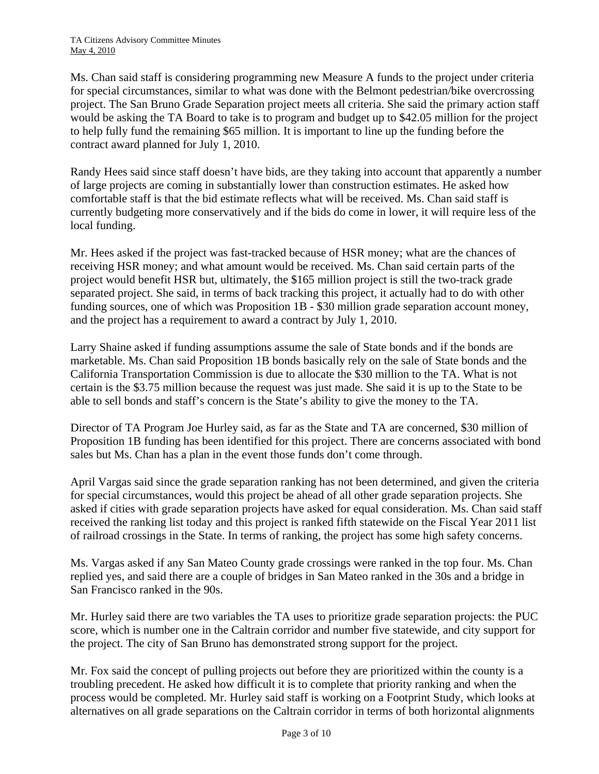Ms. Chan said staff is considering programming new Measure A funds to the project under criteria for special circumstances, similar to what was done with the Belmont pedestrian/bike overcrossing project. The San Bruno Grade Separation project meets all criteria. She said the primary action staff would be asking the TA Board to take is to program and budget up to \$42.05 million for the project to help fully fund the remaining \$65 million. It is important to line up the funding before the contract award planned for July 1, 2010.

Randy Hees said since staff doesn't have bids, are they taking into account that apparently a number of large projects are coming in substantially lower than construction estimates. He asked how comfortable staff is that the bid estimate reflects what will be received. Ms. Chan said staff is currently budgeting more conservatively and if the bids do come in lower, it will require less of the local funding.

Mr. Hees asked if the project was fast-tracked because of HSR money; what are the chances of receiving HSR money; and what amount would be received. Ms. Chan said certain parts of the project would benefit HSR but, ultimately, the \$165 million project is still the two-track grade separated project. She said, in terms of back tracking this project, it actually had to do with other funding sources, one of which was Proposition 1B - \$30 million grade separation account money, and the project has a requirement to award a contract by July 1, 2010.

Larry Shaine asked if funding assumptions assume the sale of State bonds and if the bonds are marketable. Ms. Chan said Proposition 1B bonds basically rely on the sale of State bonds and the California Transportation Commission is due to allocate the \$30 million to the TA. What is not certain is the \$3.75 million because the request was just made. She said it is up to the State to be able to sell bonds and staff's concern is the State's ability to give the money to the TA.

Director of TA Program Joe Hurley said, as far as the State and TA are concerned, \$30 million of Proposition 1B funding has been identified for this project. There are concerns associated with bond sales but Ms. Chan has a plan in the event those funds don't come through.

April Vargas said since the grade separation ranking has not been determined, and given the criteria for special circumstances, would this project be ahead of all other grade separation projects. She asked if cities with grade separation projects have asked for equal consideration. Ms. Chan said staff received the ranking list today and this project is ranked fifth statewide on the Fiscal Year 2011 list of railroad crossings in the State. In terms of ranking, the project has some high safety concerns.

Ms. Vargas asked if any San Mateo County grade crossings were ranked in the top four. Ms. Chan replied yes, and said there are a couple of bridges in San Mateo ranked in the 30s and a bridge in San Francisco ranked in the 90s.

Mr. Hurley said there are two variables the TA uses to prioritize grade separation projects: the PUC score, which is number one in the Caltrain corridor and number five statewide, and city support for the project. The city of San Bruno has demonstrated strong support for the project.

Mr. Fox said the concept of pulling projects out before they are prioritized within the county is a troubling precedent. He asked how difficult it is to complete that priority ranking and when the process would be completed. Mr. Hurley said staff is working on a Footprint Study, which looks at alternatives on all grade separations on the Caltrain corridor in terms of both horizontal alignments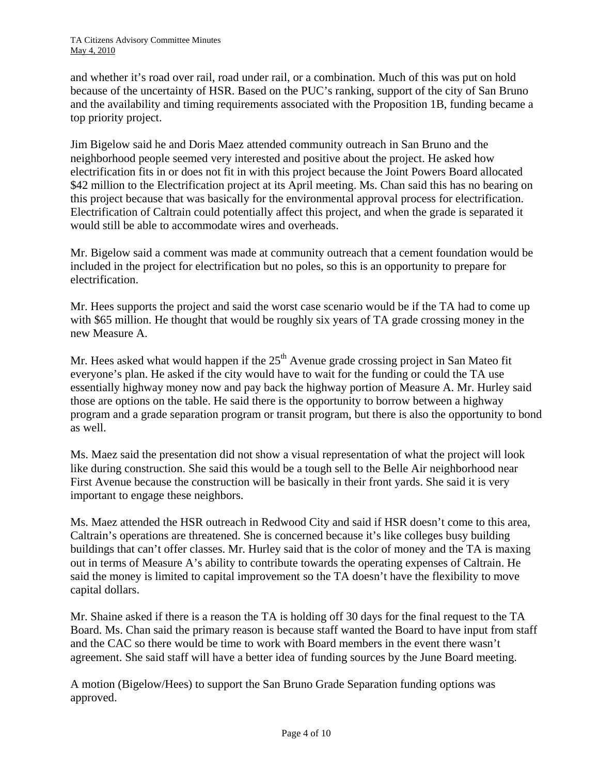and whether it's road over rail, road under rail, or a combination. Much of this was put on hold because of the uncertainty of HSR. Based on the PUC's ranking, support of the city of San Bruno and the availability and timing requirements associated with the Proposition 1B, funding became a top priority project.

Jim Bigelow said he and Doris Maez attended community outreach in San Bruno and the neighborhood people seemed very interested and positive about the project. He asked how electrification fits in or does not fit in with this project because the Joint Powers Board allocated \$42 million to the Electrification project at its April meeting. Ms. Chan said this has no bearing on this project because that was basically for the environmental approval process for electrification. Electrification of Caltrain could potentially affect this project, and when the grade is separated it would still be able to accommodate wires and overheads.

Mr. Bigelow said a comment was made at community outreach that a cement foundation would be included in the project for electrification but no poles, so this is an opportunity to prepare for electrification.

Mr. Hees supports the project and said the worst case scenario would be if the TA had to come up with \$65 million. He thought that would be roughly six years of TA grade crossing money in the new Measure A.

Mr. Hees asked what would happen if the  $25<sup>th</sup>$  Avenue grade crossing project in San Mateo fit everyone's plan. He asked if the city would have to wait for the funding or could the TA use essentially highway money now and pay back the highway portion of Measure A. Mr. Hurley said those are options on the table. He said there is the opportunity to borrow between a highway program and a grade separation program or transit program, but there is also the opportunity to bond as well.

Ms. Maez said the presentation did not show a visual representation of what the project will look like during construction. She said this would be a tough sell to the Belle Air neighborhood near First Avenue because the construction will be basically in their front yards. She said it is very important to engage these neighbors.

Ms. Maez attended the HSR outreach in Redwood City and said if HSR doesn't come to this area, Caltrain's operations are threatened. She is concerned because it's like colleges busy building buildings that can't offer classes. Mr. Hurley said that is the color of money and the TA is maxing out in terms of Measure A's ability to contribute towards the operating expenses of Caltrain. He said the money is limited to capital improvement so the TA doesn't have the flexibility to move capital dollars.

Mr. Shaine asked if there is a reason the TA is holding off 30 days for the final request to the TA Board. Ms. Chan said the primary reason is because staff wanted the Board to have input from staff and the CAC so there would be time to work with Board members in the event there wasn't agreement. She said staff will have a better idea of funding sources by the June Board meeting.

A motion (Bigelow/Hees) to support the San Bruno Grade Separation funding options was approved.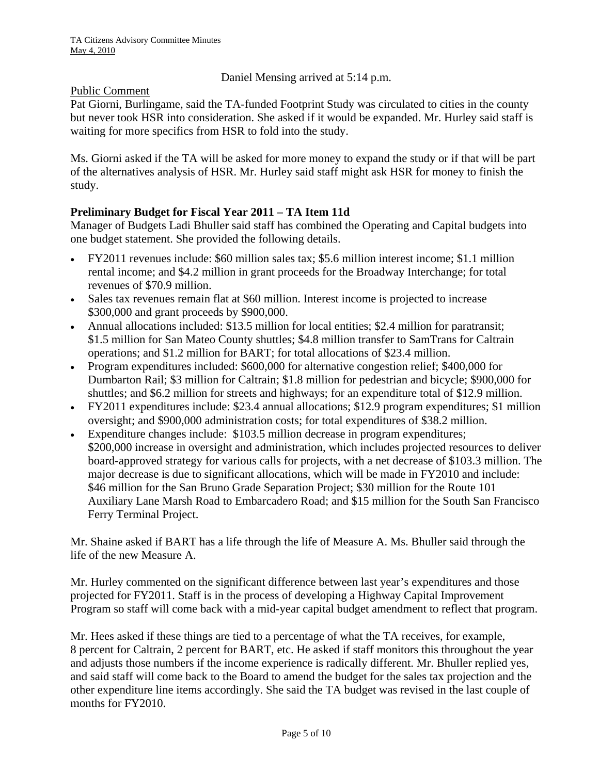Daniel Mensing arrived at 5:14 p.m.

### Public Comment

Pat Giorni, Burlingame, said the TA-funded Footprint Study was circulated to cities in the county but never took HSR into consideration. She asked if it would be expanded. Mr. Hurley said staff is waiting for more specifics from HSR to fold into the study.

Ms. Giorni asked if the TA will be asked for more money to expand the study or if that will be part of the alternatives analysis of HSR. Mr. Hurley said staff might ask HSR for money to finish the study.

# **Preliminary Budget for Fiscal Year 2011 – TA Item 11d**

Manager of Budgets Ladi Bhuller said staff has combined the Operating and Capital budgets into one budget statement. She provided the following details.

- FY2011 revenues include: \$60 million sales tax; \$5.6 million interest income; \$1.1 million rental income; and \$4.2 million in grant proceeds for the Broadway Interchange; for total revenues of \$70.9 million.
- Sales tax revenues remain flat at \$60 million. Interest income is projected to increase \$300,000 and grant proceeds by \$900,000.
- Annual allocations included: \$13.5 million for local entities; \$2.4 million for paratransit; \$1.5 million for San Mateo County shuttles; \$4.8 million transfer to SamTrans for Caltrain operations; and \$1.2 million for BART; for total allocations of \$23.4 million.
- Program expenditures included: \$600,000 for alternative congestion relief; \$400,000 for Dumbarton Rail; \$3 million for Caltrain; \$1.8 million for pedestrian and bicycle; \$900,000 for shuttles; and \$6.2 million for streets and highways; for an expenditure total of \$12.9 million.
- FY2011 expenditures include: \$23.4 annual allocations; \$12.9 program expenditures; \$1 million oversight; and \$900,000 administration costs; for total expenditures of \$38.2 million.
- Expenditure changes include: \$103.5 million decrease in program expenditures; \$200,000 increase in oversight and administration, which includes projected resources to deliver board-approved strategy for various calls for projects, with a net decrease of \$103.3 million. The major decrease is due to significant allocations, which will be made in FY2010 and include: \$46 million for the San Bruno Grade Separation Project; \$30 million for the Route 101 Auxiliary Lane Marsh Road to Embarcadero Road; and \$15 million for the South San Francisco Ferry Terminal Project.

Mr. Shaine asked if BART has a life through the life of Measure A. Ms. Bhuller said through the life of the new Measure A.

Mr. Hurley commented on the significant difference between last year's expenditures and those projected for FY2011. Staff is in the process of developing a Highway Capital Improvement Program so staff will come back with a mid-year capital budget amendment to reflect that program.

Mr. Hees asked if these things are tied to a percentage of what the TA receives, for example, 8 percent for Caltrain, 2 percent for BART, etc. He asked if staff monitors this throughout the year and adjusts those numbers if the income experience is radically different. Mr. Bhuller replied yes, and said staff will come back to the Board to amend the budget for the sales tax projection and the other expenditure line items accordingly. She said the TA budget was revised in the last couple of months for FY2010.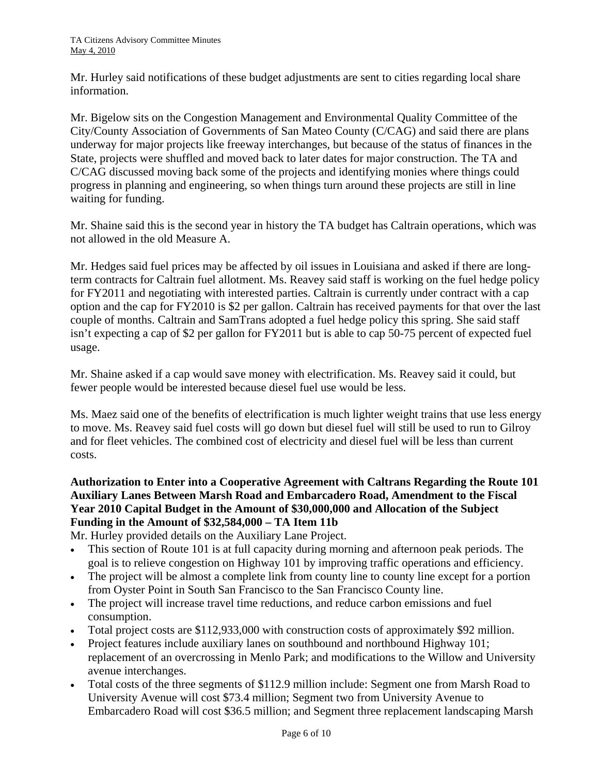Mr. Hurley said notifications of these budget adjustments are sent to cities regarding local share information.

Mr. Bigelow sits on the Congestion Management and Environmental Quality Committee of the City/County Association of Governments of San Mateo County (C/CAG) and said there are plans underway for major projects like freeway interchanges, but because of the status of finances in the State, projects were shuffled and moved back to later dates for major construction. The TA and C/CAG discussed moving back some of the projects and identifying monies where things could progress in planning and engineering, so when things turn around these projects are still in line waiting for funding.

Mr. Shaine said this is the second year in history the TA budget has Caltrain operations, which was not allowed in the old Measure A.

Mr. Hedges said fuel prices may be affected by oil issues in Louisiana and asked if there are longterm contracts for Caltrain fuel allotment. Ms. Reavey said staff is working on the fuel hedge policy for FY2011 and negotiating with interested parties. Caltrain is currently under contract with a cap option and the cap for FY2010 is \$2 per gallon. Caltrain has received payments for that over the last couple of months. Caltrain and SamTrans adopted a fuel hedge policy this spring. She said staff isn't expecting a cap of \$2 per gallon for FY2011 but is able to cap 50-75 percent of expected fuel usage.

Mr. Shaine asked if a cap would save money with electrification. Ms. Reavey said it could, but fewer people would be interested because diesel fuel use would be less.

Ms. Maez said one of the benefits of electrification is much lighter weight trains that use less energy to move. Ms. Reavey said fuel costs will go down but diesel fuel will still be used to run to Gilroy and for fleet vehicles. The combined cost of electricity and diesel fuel will be less than current costs.

# **Authorization to Enter into a Cooperative Agreement with Caltrans Regarding the Route 101 Auxiliary Lanes Between Marsh Road and Embarcadero Road, Amendment to the Fiscal Year 2010 Capital Budget in the Amount of \$30,000,000 and Allocation of the Subject Funding in the Amount of \$32,584,000 – TA Item 11b**

Mr. Hurley provided details on the Auxiliary Lane Project.

- This section of Route 101 is at full capacity during morning and afternoon peak periods. The goal is to relieve congestion on Highway 101 by improving traffic operations and efficiency.
- The project will be almost a complete link from county line to county line except for a portion from Oyster Point in South San Francisco to the San Francisco County line.
- The project will increase travel time reductions, and reduce carbon emissions and fuel consumption.
- Total project costs are \$112,933,000 with construction costs of approximately \$92 million.
- Project features include auxiliary lanes on southbound and northbound Highway 101; replacement of an overcrossing in Menlo Park; and modifications to the Willow and University avenue interchanges.
- Total costs of the three segments of \$112.9 million include: Segment one from Marsh Road to University Avenue will cost \$73.4 million; Segment two from University Avenue to Embarcadero Road will cost \$36.5 million; and Segment three replacement landscaping Marsh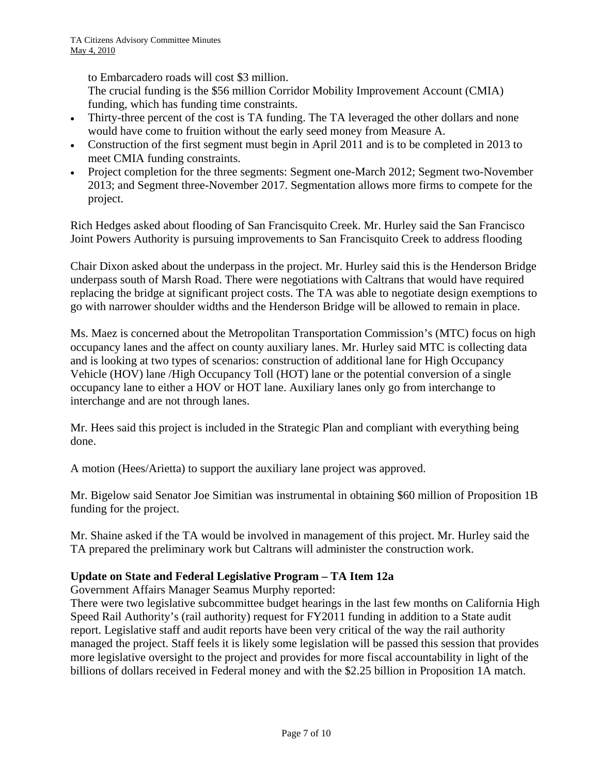to Embarcadero roads will cost \$3 million.

The crucial funding is the \$56 million Corridor Mobility Improvement Account (CMIA) funding, which has funding time constraints.

- Thirty-three percent of the cost is TA funding. The TA leveraged the other dollars and none would have come to fruition without the early seed money from Measure A.
- Construction of the first segment must begin in April 2011 and is to be completed in 2013 to meet CMIA funding constraints.
- Project completion for the three segments: Segment one-March 2012; Segment two-November 2013; and Segment three-November 2017. Segmentation allows more firms to compete for the project.

Rich Hedges asked about flooding of San Francisquito Creek. Mr. Hurley said the San Francisco Joint Powers Authority is pursuing improvements to San Francisquito Creek to address flooding

Chair Dixon asked about the underpass in the project. Mr. Hurley said this is the Henderson Bridge underpass south of Marsh Road. There were negotiations with Caltrans that would have required replacing the bridge at significant project costs. The TA was able to negotiate design exemptions to go with narrower shoulder widths and the Henderson Bridge will be allowed to remain in place.

Ms. Maez is concerned about the Metropolitan Transportation Commission's (MTC) focus on high occupancy lanes and the affect on county auxiliary lanes. Mr. Hurley said MTC is collecting data and is looking at two types of scenarios: construction of additional lane for High Occupancy Vehicle (HOV) lane /High Occupancy Toll (HOT) lane or the potential conversion of a single occupancy lane to either a HOV or HOT lane. Auxiliary lanes only go from interchange to interchange and are not through lanes.

Mr. Hees said this project is included in the Strategic Plan and compliant with everything being done.

A motion (Hees/Arietta) to support the auxiliary lane project was approved.

Mr. Bigelow said Senator Joe Simitian was instrumental in obtaining \$60 million of Proposition 1B funding for the project.

Mr. Shaine asked if the TA would be involved in management of this project. Mr. Hurley said the TA prepared the preliminary work but Caltrans will administer the construction work.

### **Update on State and Federal Legislative Program – TA Item 12a**

Government Affairs Manager Seamus Murphy reported:

There were two legislative subcommittee budget hearings in the last few months on California High Speed Rail Authority's (rail authority) request for FY2011 funding in addition to a State audit report. Legislative staff and audit reports have been very critical of the way the rail authority managed the project. Staff feels it is likely some legislation will be passed this session that provides more legislative oversight to the project and provides for more fiscal accountability in light of the billions of dollars received in Federal money and with the \$2.25 billion in Proposition 1A match.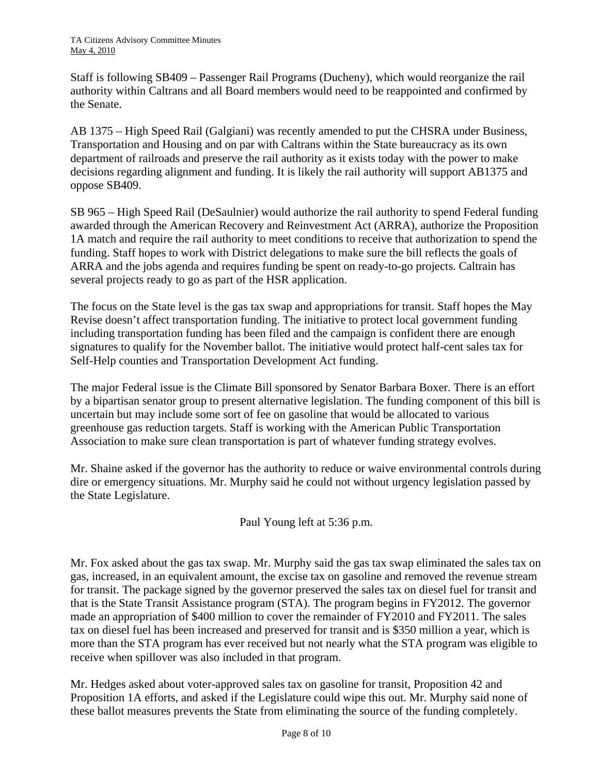Staff is following SB409 – Passenger Rail Programs (Ducheny), which would reorganize the rail authority within Caltrans and all Board members would need to be reappointed and confirmed by the Senate.

AB 1375 – High Speed Rail (Galgiani) was recently amended to put the CHSRA under Business, Transportation and Housing and on par with Caltrans within the State bureaucracy as its own department of railroads and preserve the rail authority as it exists today with the power to make decisions regarding alignment and funding. It is likely the rail authority will support AB1375 and oppose SB409.

SB 965 – High Speed Rail (DeSaulnier) would authorize the rail authority to spend Federal funding awarded through the American Recovery and Reinvestment Act (ARRA), authorize the Proposition 1A match and require the rail authority to meet conditions to receive that authorization to spend the funding. Staff hopes to work with District delegations to make sure the bill reflects the goals of ARRA and the jobs agenda and requires funding be spent on ready-to-go projects. Caltrain has several projects ready to go as part of the HSR application.

The focus on the State level is the gas tax swap and appropriations for transit. Staff hopes the May Revise doesn't affect transportation funding. The initiative to protect local government funding including transportation funding has been filed and the campaign is confident there are enough signatures to qualify for the November ballot. The initiative would protect half-cent sales tax for Self-Help counties and Transportation Development Act funding.

The major Federal issue is the Climate Bill sponsored by Senator Barbara Boxer. There is an effort by a bipartisan senator group to present alternative legislation. The funding component of this bill is uncertain but may include some sort of fee on gasoline that would be allocated to various greenhouse gas reduction targets. Staff is working with the American Public Transportation Association to make sure clean transportation is part of whatever funding strategy evolves.

Mr. Shaine asked if the governor has the authority to reduce or waive environmental controls during dire or emergency situations. Mr. Murphy said he could not without urgency legislation passed by the State Legislature.

Paul Young left at 5:36 p.m.

Mr. Fox asked about the gas tax swap. Mr. Murphy said the gas tax swap eliminated the sales tax on gas, increased, in an equivalent amount, the excise tax on gasoline and removed the revenue stream for transit. The package signed by the governor preserved the sales tax on diesel fuel for transit and that is the State Transit Assistance program (STA). The program begins in FY2012. The governor made an appropriation of \$400 million to cover the remainder of FY2010 and FY2011. The sales tax on diesel fuel has been increased and preserved for transit and is \$350 million a year, which is more than the STA program has ever received but not nearly what the STA program was eligible to receive when spillover was also included in that program.

Mr. Hedges asked about voter-approved sales tax on gasoline for transit, Proposition 42 and Proposition 1A efforts, and asked if the Legislature could wipe this out. Mr. Murphy said none of these ballot measures prevents the State from eliminating the source of the funding completely.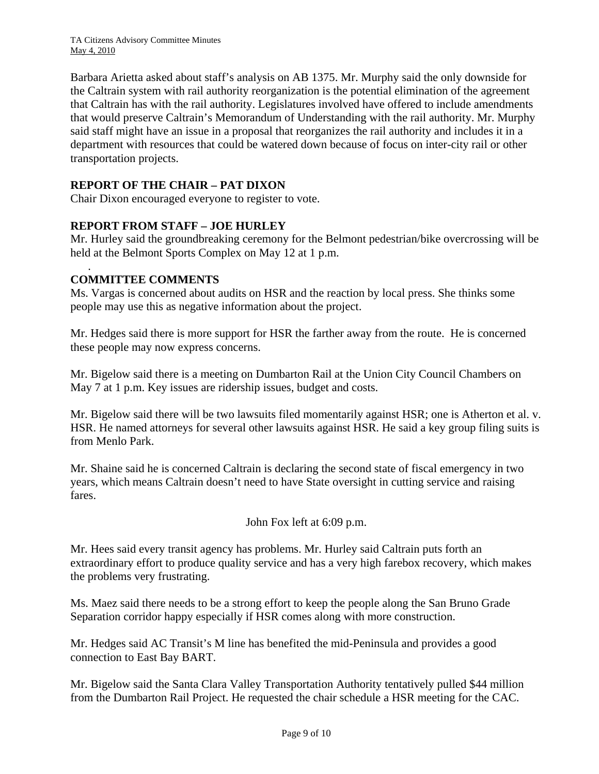TA Citizens Advisory Committee Minutes May 4, 2010

Barbara Arietta asked about staff's analysis on AB 1375. Mr. Murphy said the only downside for the Caltrain system with rail authority reorganization is the potential elimination of the agreement that Caltrain has with the rail authority. Legislatures involved have offered to include amendments that would preserve Caltrain's Memorandum of Understanding with the rail authority. Mr. Murphy said staff might have an issue in a proposal that reorganizes the rail authority and includes it in a department with resources that could be watered down because of focus on inter-city rail or other transportation projects.

### **REPORT OF THE CHAIR – PAT DIXON**

Chair Dixon encouraged everyone to register to vote.

### **REPORT FROM STAFF – JOE HURLEY**

Mr. Hurley said the groundbreaking ceremony for the Belmont pedestrian/bike overcrossing will be held at the Belmont Sports Complex on May 12 at 1 p.m.

### **COMMITTEE COMMENTS**

.

Ms. Vargas is concerned about audits on HSR and the reaction by local press. She thinks some people may use this as negative information about the project.

Mr. Hedges said there is more support for HSR the farther away from the route. He is concerned these people may now express concerns.

Mr. Bigelow said there is a meeting on Dumbarton Rail at the Union City Council Chambers on May 7 at 1 p.m. Key issues are ridership issues, budget and costs.

Mr. Bigelow said there will be two lawsuits filed momentarily against HSR; one is Atherton et al. v. HSR. He named attorneys for several other lawsuits against HSR. He said a key group filing suits is from Menlo Park.

Mr. Shaine said he is concerned Caltrain is declaring the second state of fiscal emergency in two years, which means Caltrain doesn't need to have State oversight in cutting service and raising fares.

John Fox left at 6:09 p.m.

Mr. Hees said every transit agency has problems. Mr. Hurley said Caltrain puts forth an extraordinary effort to produce quality service and has a very high farebox recovery, which makes the problems very frustrating.

Ms. Maez said there needs to be a strong effort to keep the people along the San Bruno Grade Separation corridor happy especially if HSR comes along with more construction.

Mr. Hedges said AC Transit's M line has benefited the mid-Peninsula and provides a good connection to East Bay BART.

Mr. Bigelow said the Santa Clara Valley Transportation Authority tentatively pulled \$44 million from the Dumbarton Rail Project. He requested the chair schedule a HSR meeting for the CAC.